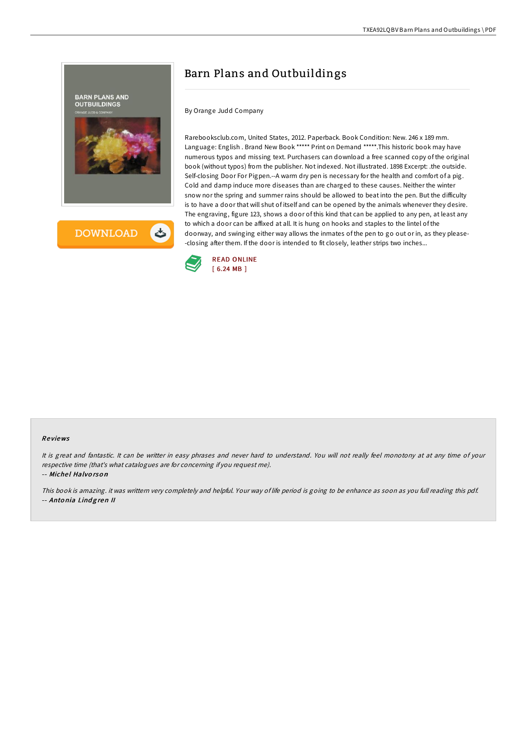



# Barn Plans and Outbuildings

By Orange Judd Company

Rarebooksclub.com, United States, 2012. Paperback. Book Condition: New. 246 x 189 mm. Language: English . Brand New Book \*\*\*\*\* Print on Demand \*\*\*\*\*.This historic book may have numerous typos and missing text. Purchasers can download a free scanned copy of the original book (without typos) from the publisher. Not indexed. Not illustrated. 1898 Excerpt: .the outside. Self-closing Door For Pigpen.--A warm dry pen is necessary for the health and comfort of a pig. Cold and damp induce more diseases than are charged to these causes. Neither the winter snow nor the spring and summer rains should be allowed to beat into the pen. But the difficulty is to have a door that will shut of itself and can be opened by the animals whenever they desire. The engraving, figure 123, shows a door of this kind that can be applied to any pen, at least any to which a door can be affixed at all. It is hung on hooks and staples to the lintel of the doorway, and swinging either way allows the inmates of the pen to go out or in, as they please- -closing after them. If the door is intended to fit closely, leather strips two inches...



#### Re views

It is great and fantastic. It can be writter in easy phrases and never hard to understand. You will not really feel monotony at at any time of your respective time (that's what catalogues are for concerning if you request me).

-- Michel Halvorson

This book is amazing. it was writtern very completely and helpful. Your way of life period is going to be enhance as soon as you full reading this pdf. -- Antonia Lindgren II